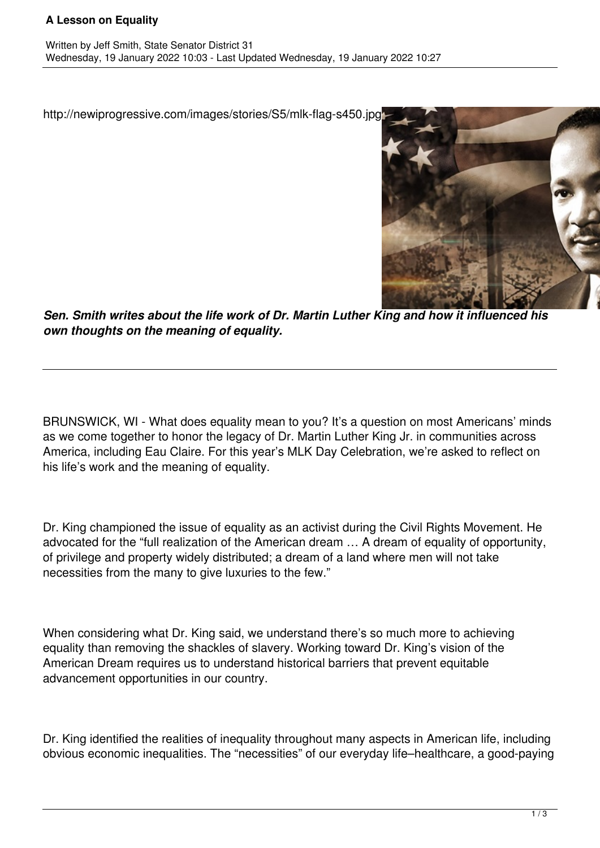## **A Lesson on Equality**

http://newiprogressive.com/images/stories/S5/mlk-flag-s450.jpg



*Sen. Smith writes about the life work of Dr. Martin Luther King and how it influenced his own thoughts on the meaning of equality.*

BRUNSWICK, WI - What does equality mean to you? It's a question on most Americans' minds as we come together to honor the legacy of Dr. Martin Luther King Jr. in communities across America, including Eau Claire. For this year's MLK Day Celebration, we're asked to reflect on his life's work and the meaning of equality.

Dr. King championed the issue of equality as an activist during the Civil Rights Movement. He advocated for the "full realization of the American dream … A dream of equality of opportunity, of privilege and property widely distributed; a dream of a land where men will not take necessities from the many to give luxuries to the few."

When considering what Dr. King said, we understand there's so much more to achieving equality than removing the shackles of slavery. Working toward Dr. King's vision of the American Dream requires us to understand historical barriers that prevent equitable advancement opportunities in our country.

Dr. King identified the realities of inequality throughout many aspects in American life, including obvious economic inequalities. The "necessities" of our everyday life–healthcare, a good-paying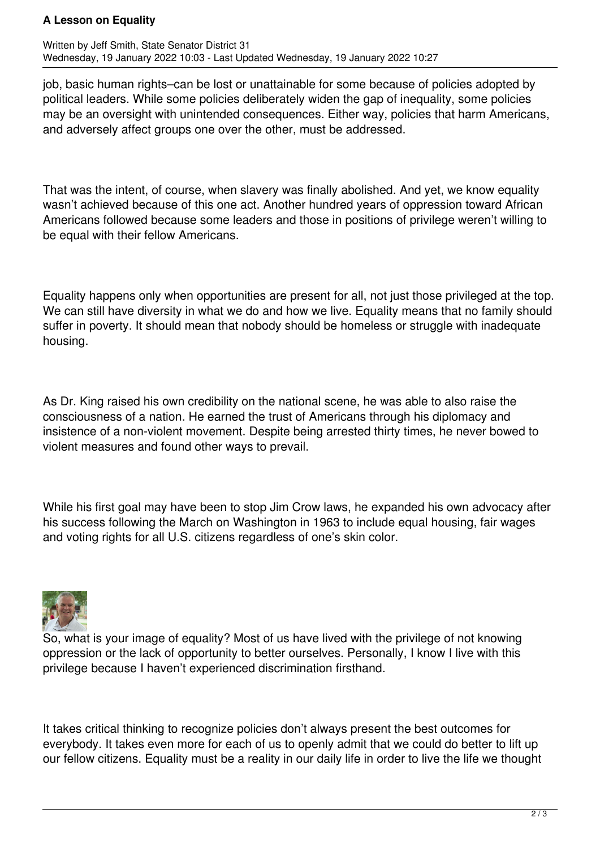## **A Lesson on Equality**

Written by Jeff Smith, State Senator District 31 Wednesday, 19 January 2022 10:03 - Last Updated Wednesday, 19 January 2022 10:27

job, basic human rights–can be lost or unattainable for some because of policies adopted by political leaders. While some policies deliberately widen the gap of inequality, some policies may be an oversight with unintended consequences. Either way, policies that harm Americans, and adversely affect groups one over the other, must be addressed.

That was the intent, of course, when slavery was finally abolished. And yet, we know equality wasn't achieved because of this one act. Another hundred years of oppression toward African Americans followed because some leaders and those in positions of privilege weren't willing to be equal with their fellow Americans.

Equality happens only when opportunities are present for all, not just those privileged at the top. We can still have diversity in what we do and how we live. Equality means that no family should suffer in poverty. It should mean that nobody should be homeless or struggle with inadequate housing.

As Dr. King raised his own credibility on the national scene, he was able to also raise the consciousness of a nation. He earned the trust of Americans through his diplomacy and insistence of a non-violent movement. Despite being arrested thirty times, he never bowed to violent measures and found other ways to prevail.

While his first goal may have been to stop Jim Crow laws, he expanded his own advocacy after his success following the March on Washington in 1963 to include equal housing, fair wages and voting rights for all U.S. citizens regardless of one's skin color.



So, what is your image of equality? Most of us have lived with the privilege of not knowing oppression or the lack of opportunity to better ourselves. Personally, I know I live with this privilege because I haven't experienced discrimination firsthand.

It takes critical thinking to recognize policies don't always present the best outcomes for everybody. It takes even more for each of us to openly admit that we could do better to lift up our fellow citizens. Equality must be a reality in our daily life in order to live the life we thought